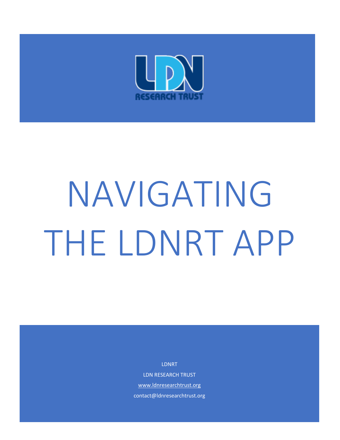

# NAVIGATING THE LDNRT APP

LDNRT

LDN RESEARCH TRUST [www.ldnresearchtrust.org](about:blank) contact@ldnresearchtrust.org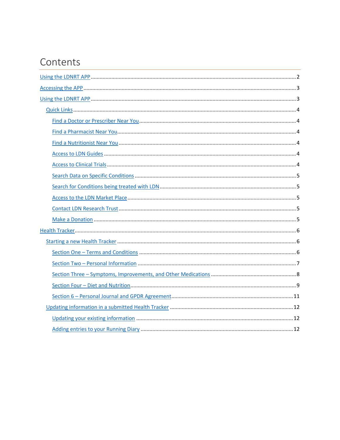## Contents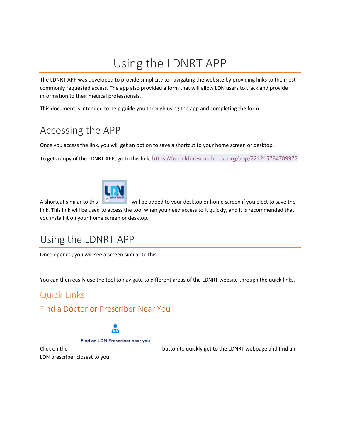# Using the LDNRT APP

<span id="page-2-0"></span>The LDNRT APP was developed to provide simplicity to navigating the website by providing links to the most commonly requested access. The app also provided a form that will allow LDN users to track and provide information to their medical professionals.

This document is intended to help guide you through using the app and completing the form.

# <span id="page-2-1"></span>Accessing the APP

Once you access the link, you will get an option to save a shortcut to your home screen or desktop.

To get a copy of the LDNRT APP, go to this link, <https://form.ldnresearchtrust.org/app/221215784789972>



A shortcut similar to this -  $\blacksquare$  - will be added to your desktop or home screen if you elect to save the link. This link will be used to access the tool when you need access to it quickly, and it is recommended that you install it on your home screen or desktop.

## <span id="page-2-2"></span>Using the LDNRT APP

Once opened, you will see a screen similar to this.

You can then easily use the tool to navigate to different areas of the LDNRT website through the quick links.

## <span id="page-2-3"></span>Quick Links

#### <span id="page-2-4"></span>Find a Doctor or Prescriber Near You



Click on the **contract of the button to quickly get to the LDNRT webpage and find an** 

LDN prescriber closest to you.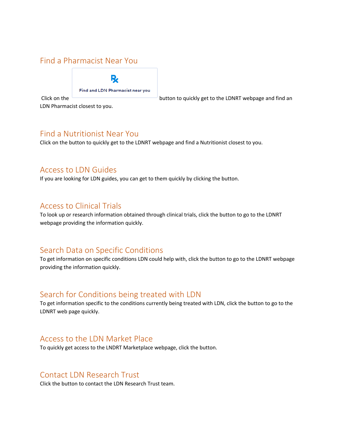#### <span id="page-3-0"></span>Find a Pharmacist Near You

Find and LDN Pharmacist near you

Click on the **button to quickly get to the LDNRT** webpage and find an

LDN Pharmacist closest to you.

#### <span id="page-3-1"></span>Find a Nutritionist Near You

Click on the button to quickly get to the LDNRT webpage and find a Nutritionist closest to you.

#### <span id="page-3-2"></span>Access to LDN Guides

If you are looking for LDN guides, you can get to them quickly by clicking the button.

#### <span id="page-3-3"></span>Access to Clinical Trials

To look up or research information obtained through clinical trials, click the button to go to the LDNRT webpage providing the information quickly.

#### <span id="page-3-4"></span>Search Data on Specific Conditions

To get information on specific conditions LDN could help with, click the button to go to the LDNRT webpage providing the information quickly.

#### <span id="page-3-5"></span>Search for Conditions being treated with LDN

To get information specific to the conditions currently being treated with LDN, click the button to go to the LDNRT web page quickly.

#### <span id="page-3-6"></span>Access to the LDN Market Place

To quickly get access to the LNDRT Marketplace webpage, click the button.

#### <span id="page-3-7"></span>Contact LDN Research Trust

Click the button to contact the LDN Research Trust team.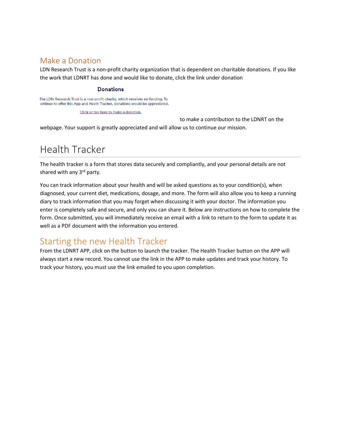#### <span id="page-4-0"></span>Make a Donation

LDN Research Trust is a non-profit charity organization that is dependent on charitable donations. If you like the work that LDNRT has done and would like to donate, click the link under donation

#### **Donations**

The LDN Research Trust is a non-profit charity, which receives no funding. To ontinue to offer this App and Heath Tracker, donations would be appreciated.

Click or tap here to make a donation.

to make a contribution to the LDNRT on the webpage. Your support is greatly appreciated and will allow us to continue our mission.

# <span id="page-4-1"></span>Health Tracker

The health tracker is a form that stores data securely and compliantly, and your personal details are not shared with any 3<sup>rd</sup> party.

You can track information about your health and will be asked questions as to your condition(s), when diagnosed, your current diet, medications, dosage, and more. The form will also allow you to keep a running diary to track information that you may forget when discussing it with your doctor. The information you enter is completely safe and secure, and only you can share it. Below are instructions on how to complete the form. Once submitted, you will immediately receive an email with a link to return to the form to update it as well as a PDF document with the information you entered.

## <span id="page-4-2"></span>Starting the new Health Tracker

From the LDNRT APP, click on the button to launch the tracker. The Health Tracker button on the APP will always start a new record. You cannot use the link in the APP to make updates and track your history. To track your history, you must use the link emailed to you upon completion.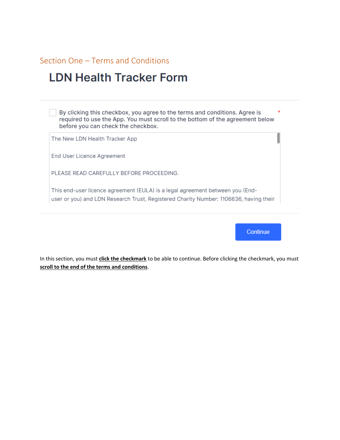#### <span id="page-5-0"></span>Section One - Terms and Conditions

## **LDN Health Tracker Form**

By clicking this checkbox, you agree to the terms and conditions. Agree is  $\ast$ required to use the App. You must scroll to the bottom of the agreement below before you can check the checkbox.

The New LDN Health Tracker App

End User Licence Agreement

PLEASE READ CAREFULLY BEFORE PROCEEDING.

This end-user licence agreement (EULA) is a legal agreement between you (Enduser or you) and LDN Research Trust, Registered Charity Number: 1106636, having their

**Continue** 

In this section, you must click the checkmark to be able to continue. Before clicking the checkmark, you must scroll to the end of the terms and conditions.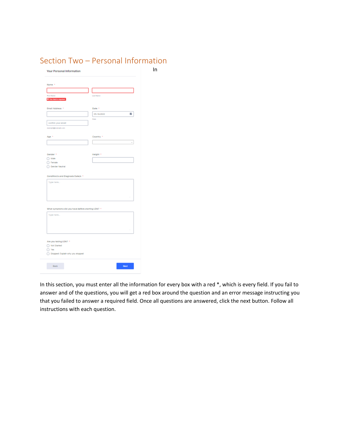<span id="page-6-0"></span>

| Name +                                              |                     |                          |  |
|-----------------------------------------------------|---------------------|--------------------------|--|
|                                                     |                     |                          |  |
| <b>First Rame</b><br><b>O</b> The field is mighted. | <b>Last Name</b>    |                          |  |
| Email Address *                                     | Date +              |                          |  |
|                                                     | 05-18-2022          | ÷                        |  |
| confirm your email                                  | Dale                |                          |  |
| manyin@reanple.com                                  |                     |                          |  |
| Age +                                               | Country *           |                          |  |
|                                                     |                     | $\overline{\phantom{a}}$ |  |
|                                                     |                     |                          |  |
| Gender +<br>$\bigcirc$ Male                         | Helpht <sup>+</sup> |                          |  |
| C Fertale                                           |                     |                          |  |
| Gender Neutral                                      |                     |                          |  |
| Condition/s and Diagnosis Date/s +                  |                     |                          |  |
| Type here                                           |                     |                          |  |
|                                                     |                     |                          |  |
|                                                     |                     |                          |  |
|                                                     |                     |                          |  |
| What symptoms did you have before starting LDN? +   |                     |                          |  |
| Type here                                           |                     |                          |  |
|                                                     |                     |                          |  |
|                                                     |                     |                          |  |
|                                                     |                     |                          |  |
| Are you taking LDN? +                               |                     |                          |  |
| Rict Started<br>O Yes                               |                     |                          |  |
| Stopped: Explain why you stopped                    |                     |                          |  |

#### In this section, you must enter all the information for every box with a red \*, which is every field. If you fail to answer and of the questions, you will get a red box around the question and an error message instructing you that you failed to answer a required field. Once all questions are answered, click the next button. Follow all instructions with each question.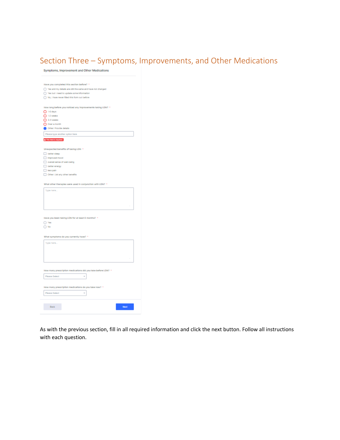### <span id="page-7-0"></span>Section Three – Symptoms, Improvements, and Other Medications

Symptoms, Improvement and Other Medications

| Have you completed this section before? *                    |
|--------------------------------------------------------------|
| >Yes and my details are still the same and have not changed  |
|                                                              |
| Yes but I need to update some information                    |
| No, I have never filled this form out before                 |
|                                                              |
| How long before you noticed any improvements taking LDN? +   |
| $O$ 1-6 days                                                 |
|                                                              |
| $O$ 1-2 weeks                                                |
| $3-4$ weeks                                                  |
| Over a month                                                 |
| Other: Provide details                                       |
| Please type another option here                              |
|                                                              |
| @ This field is required.                                    |
|                                                              |
| Unexpected benefits of taking LDN *                          |
| better sleep                                                 |
|                                                              |
| Improved mood                                                |
| overall sense of well-being                                  |
| better energy                                                |
| ies pain                                                     |
| Other: List any other benefits                               |
|                                                              |
|                                                              |
| What other therapies were used in conjunction with LDN? *    |
| Type hara                                                    |
|                                                              |
|                                                              |
|                                                              |
|                                                              |
|                                                              |
|                                                              |
| Have you been taking LDN for at least 6 months? *            |
|                                                              |
| The C                                                        |
| O No                                                         |
|                                                              |
| What symptoms do you currently have? +                       |
|                                                              |
|                                                              |
| Type here                                                    |
|                                                              |
|                                                              |
|                                                              |
|                                                              |
|                                                              |
|                                                              |
|                                                              |
| How many prescription medications did you take before LDN? + |
| <b>Please Select</b>                                         |
|                                                              |
|                                                              |
| How many prescription medications do you take now? *         |
| <b>Please Select</b>                                         |
|                                                              |
|                                                              |
|                                                              |
| Next<br>Back                                                 |

As with the previous section, fill in all required information and click the next button. Follow all instructions with each question.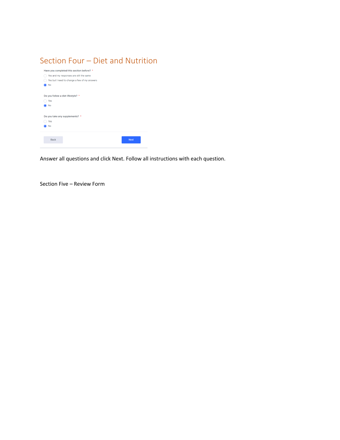#### <span id="page-8-0"></span>Section Four – Diet and Nutrition

| Have you completed this section before? *    |  |
|----------------------------------------------|--|
| Yes and my responses are still the same      |  |
| Yes but I need to change a few of my answers |  |
| No                                           |  |
|                                              |  |
| Do you follow a diet lifestyle? *            |  |
| Yes                                          |  |
| No                                           |  |
|                                              |  |
| Do you take any supplements? *               |  |
| Yes                                          |  |
| No                                           |  |
|                                              |  |
|                                              |  |
| <b>Next</b><br><b>Back</b>                   |  |
|                                              |  |

Answer all questions and click Next. Follow all instructions with each question.

Section Five – Review Form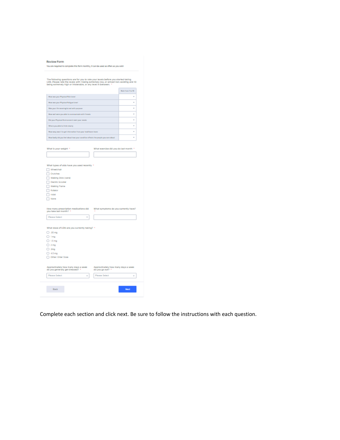|  |  | <b>Review Form</b> |
|--|--|--------------------|
|  |  |                    |
|  |  |                    |

| You are required to complete this form monthly, it can be used as often as you wish |  |
|-------------------------------------------------------------------------------------|--|

The following questions are for you to rate your levels before you started taking<br>LDN. Please rate the levels with I being extremely low, or almost non-existing and 10<br>being extremely high or intolerable, or any level in b

|                                                                                     | <b>Raile From 11p 10</b> |
|-------------------------------------------------------------------------------------|--------------------------|
| How was your Physical Pain Level                                                    | $\sim$                   |
| How was your Physical Paligue Level                                                 | $\sim$                   |
| Was your the remainingful and with purposes                                         | $\sim$                   |
| How well were you able to communicate with friends.                                 | $\sim$                   |
| Did your Physical Bretramment meet your rends.                                      | $^{12}$                  |
| Where you able to think sincely                                                     | $\sim$                   |
| How wery was it to get information from your healthcare beam                        | $\sim$                   |
| How landy stid you feel about how your constitue offents. I'm people you care about | $\sim$                   |

| What is your weight *                                                 | What exercise did you do last month *                  |
|-----------------------------------------------------------------------|--------------------------------------------------------|
|                                                                       |                                                        |
|                                                                       |                                                        |
|                                                                       |                                                        |
| What types of aids have you used recently *                           |                                                        |
| Wheelchalr                                                            |                                                        |
| <b>Crutches</b>                                                       |                                                        |
| Walking Stick (cane)                                                  |                                                        |
| <b>Glectric Scooter</b>                                               |                                                        |
| Walking Frame                                                         |                                                        |
| Rollator                                                              |                                                        |
| Holst                                                                 |                                                        |
| Nore                                                                  |                                                        |
|                                                                       |                                                        |
| How many prescription medications did                                 | What symptoms do you currently have?                   |
| you take last month? +                                                |                                                        |
| Please Select<br>v                                                    |                                                        |
|                                                                       |                                                        |
|                                                                       |                                                        |
| What dose of LDN are you currently taking? *                          |                                                        |
| .05 <sub>mg</sub>                                                     |                                                        |
| ) Img                                                                 |                                                        |
| 1.5 <sub>mg</sub>                                                     |                                                        |
| 2 <sub>mg</sub>                                                       |                                                        |
| <b>Jmg</b>                                                            |                                                        |
| 4.5 mg                                                                |                                                        |
| Other: Enter Dose                                                     |                                                        |
|                                                                       |                                                        |
|                                                                       |                                                        |
| Approximately how many days a week<br>do you generally get dressed? * | Approximately how many days a week<br>do you go out? * |
|                                                                       |                                                        |
| Please Select<br>$\mathbf{v}$                                         | Please Select<br>$\sim$                                |
|                                                                       |                                                        |
|                                                                       |                                                        |
| Back                                                                  | <b>Max</b>                                             |
|                                                                       |                                                        |
|                                                                       |                                                        |

Complete each section and click next. Be sure to follow the instructions with each question.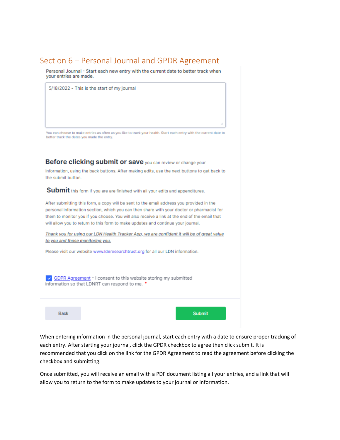#### <span id="page-10-0"></span>Section 6 - Personal Journal and GPDR Agreement

Personal Journal - Start each new entry with the current date to better track when your entries are made.

5/18/2022 - This is the start of my journal

You can choose to make entries as often as you like to track your health. Start each entry with the current date to better track the dates you made the entry.

Before clicking submit or save you can review or change your

information, using the back buttons. After making edits, use the next buttons to get back to the submit button.

Submit this form if you are are finished with all your edits and appenditures.

After submitting this form, a copy will be sent to the email address you provided in the personal information section, which you can then share with your doctor or pharmacist for them to monitor you if you choose. You will also receive a link at the end of the email that will allow you to return to this form to make updates and continue your journal.

Thank you for using our LDN Health Tracker App, we are confident it will be of great value to you and those monitoring you.

Please visit our website www.Idnresearchtrust.org for all our LDN information.

O GDPR Agreement - I consent to this website storing my submitted information so that LDNRT can respond to me. \*

**Back** 

**Submit** 

When entering information in the personal journal, start each entry with a date to ensure proper tracking of each entry. After starting your journal, click the GPDR checkbox to agree then click submit. It is recommended that you click on the link for the GPDR Agreement to read the agreement before clicking the checkbox and submitting.

Once submitted, you will receive an email with a PDF document listing all your entries, and a link that will allow you to return to the form to make updates to your journal or information.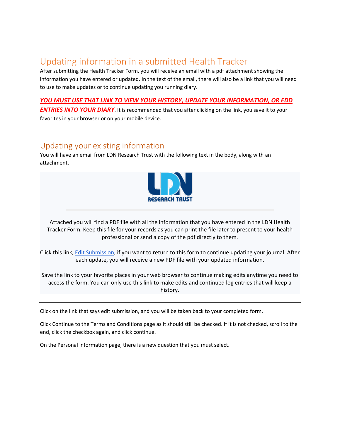## <span id="page-11-0"></span>Updating information in a submitted Health Tracker

After submitting the Health Tracker Form, you will receive an email with a pdf attachment showing the information you have entered or updated. In the text of the email, there will also be a link that you will need to use to make updates or to continue updating you running diary.

#### *YOU MUST USE THAT LINK TO VIEW YOUR HISTORY, UPDATE YOUR INFORMATION, OR EDD*

*ENTRIES INTO YOUR DIARY*. It is recommended that you after clicking on the link, you save it to your favorites in your browser or on your mobile device.

#### <span id="page-11-1"></span>Updating your existing information

You will have an email from LDN Research Trust with the following text in the body, along with an attachment.



Attached you will find a PDF file with all the information that you have entered in the LDN Health Tracker Form. Keep this file for your records as you can print the file later to present to your health professional or send a copy of the pdf directly to them.

Click this link, [Edit Submission,](about:blank) if you want to return to this form to continue updating your journal. After each update, you will receive a new PDF file with your updated information.

Save the link to your favorite places in your web browser to continue making edits anytime you need to access the form. You can only use this link to make edits and continued log entries that will keep a history.

Click on the link that says edit submission, and you will be taken back to your completed form.

Click Continue to the Terms and Conditions page as it should still be checked. If it is not checked, scroll to the end, click the checkbox again, and click continue.

On the Personal information page, there is a new question that you must select.